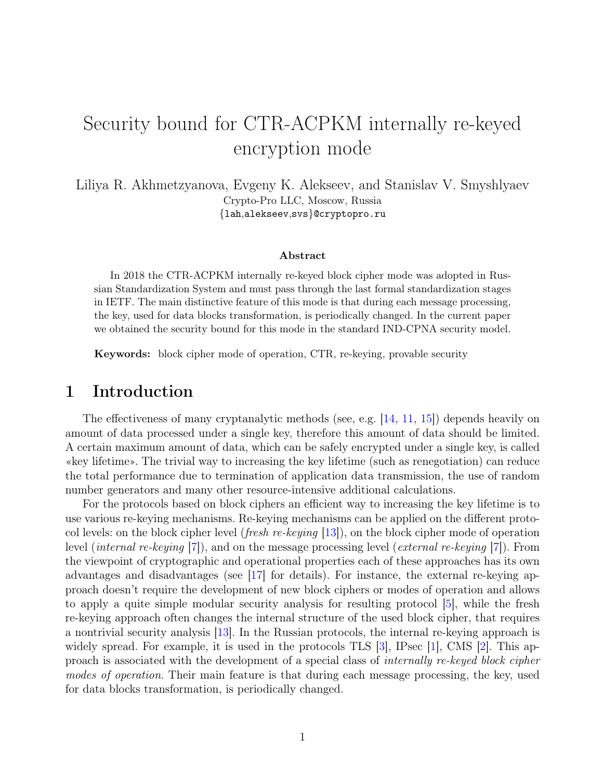# Security bound for СTR-ACPKM internally re-keyed encryption mode

Liliya R. Akhmetzyanova, Evgeny K. Alekseev, and Stanislav V. Smyshlyaev Crypto-Pro LLC, Moscow, Russia {lah,alekseev,svs}@cryptopro.ru

#### Abstract

In 2018 the СTR-ACPKM internally re-keyed block cipher mode was adopted in Russian Standardization System and must pass through the last formal standardization stages in IETF. The main distinctive feature of this mode is that during each message processing, the key, used for data blocks transformation, is periodically changed. In the current paper we obtained the security bound for this mode in the standard IND-CPNA security model.

Keywords: block cipher mode of operation, CTR, re-keying, provable security

#### 1 Introduction

The effectiveness of many cryptanalytic methods (see, e.g. [\[14,](#page-5-0) [11,](#page-5-1) [15\]](#page-5-2)) depends heavily on amount of data processed under a single key, therefore this amount of data should be limited. A certain maximum amount of data, which can be safely encrypted under a single key, is called «key lifetime». The trivial way to increasing the key lifetime (such as renegotiation) can reduce the total performance due to termination of application data transmission, the use of random number generators and many other resource-intensive additional calculations.

For the protocols based on block ciphers an efficient way to increasing the key lifetime is to use various re-keying mechanisms. Re-keying mechanisms can be applied on the different protocol levels: on the block cipher level (*fresh re-keying* [\[13\]](#page-5-3)), on the block cipher mode of operation level (internal re-keying [\[7\]](#page-5-4)), and on the message processing level (external re-keying [\[7\]](#page-5-4)). From the viewpoint of cryptographic and operational properties each of these approaches has its own advantages and disadvantages (see [\[17\]](#page-5-5) for details). For instance, the external re-keying approach doesn't require the development of new block ciphers or modes of operation and allows to apply a quite simple modular security analysis for resulting protocol [\[5\]](#page-5-6), while the fresh re-keying approach often changes the internal structure of the used block cipher, that requires a nontrivial security analysis [\[13\]](#page-5-3). In the Russian protocols, the internal re-keying approach is widely spread. For example, it is used in the protocols TLS [\[3\]](#page-4-0), IPsec [\[1\]](#page-4-1), CMS [\[2\]](#page-4-2). This approach is associated with the development of a special class of internally re-keyed block cipher modes of operation. Their main feature is that during each message processing, the key, used for data blocks transformation, is periodically changed.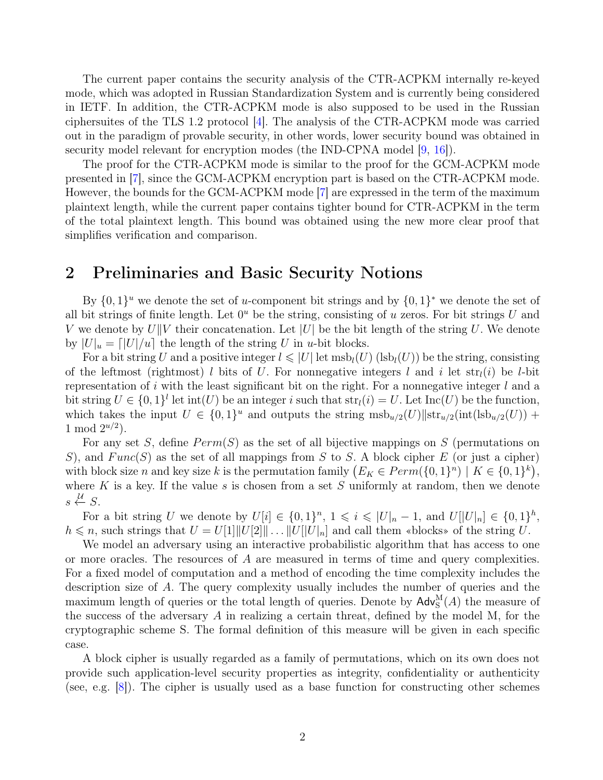The current paper contains the security analysis of the СTR-ACPKM internally re-keyed mode, which was adopted in Russian Standardization System and is currently being considered in IETF. In addition, the СTR-ACPKM mode is also supposed to be used in the Russian ciphersuites of the TLS 1.2 protocol [\[4\]](#page-4-3). The analysis of the СTR-ACPKM mode was carried out in the paradigm of provable security, in other words, lower security bound was obtained in security model relevant for encryption modes (the IND-CPNA model [\[9,](#page-5-7) [16\]](#page-5-8)).

The proof for the СTR-ACPKM mode is similar to the proof for the GCM-ACPKM mode presented in [\[7\]](#page-5-4), since the GCM-ACPKM encryption part is based on the СTR-ACPKM mode. However, the bounds for the GCM-ACPKM mode [\[7\]](#page-5-4) are expressed in the term of the maximum plaintext length, while the current paper contains tighter bound for СTR-ACPKM in the term of the total plaintext length. This bound was obtained using the new more clear proof that simplifies verification and comparison.

## 2 Preliminaries and Basic Security Notions

By  $\{0,1\}^u$  we denote the set of u-component bit strings and by  $\{0,1\}^*$  we denote the set of all bit strings of finite length. Let  $0<sup>u</sup>$  be the string, consisting of u zeros. For bit strings U and V we denote by  $U||V$  their concatenation. Let  $|U|$  be the bit length of the string U. We denote by  $|U|_u = |U|/u$  the length of the string U in u-bit blocks.

For a bit string U and a positive integer  $l \leqslant |U|$  let  $msb_l(U)$  (lsb<sub>l</sub>(U)) be the string, consisting of the leftmost (rightmost) l bits of U. For nonnegative integers l and i let  $str_l(i)$  be l-bit representation of i with the least significant bit on the right. For a nonnegative integer  $l$  and a bit string  $U \in \{0,1\}^l$  let  $\text{int}(U)$  be an integer i such that  $\text{str}_l(i) = U$ . Let  $\text{Inc}(U)$  be the function, which takes the input  $U \in \{0,1\}^u$  and outputs the string  $m s b_{u/2}(U) ||str_{u/2}(int (ls b_{u/2}(U)) +$ 1 mod  $2^{u/2}$ ).

For any set S, define  $Perm(S)$  as the set of all bijective mappings on S (permutations on S), and  $Func(S)$  as the set of all mappings from S to S. A block cipher E (or just a cipher) with block size *n* and key size *k* is the permutation family  $(E_K \in Perm(\{0,1\}^n) \mid K \in \{0,1\}^k)$ , where K is a key. If the value s is chosen from a set S uniformly at random, then we denote  $s \stackrel{\mathcal{U}}{\leftarrow} S.$ 

For a bit string U we denote by  $U[i] \in \{0,1\}^n$ ,  $1 \leq i \leq |U|_n - 1$ , and  $U[|U|_n] \in \{0,1\}^h$ ,  $h \leq n$ , such strings that  $U = U[1]||U[2]|| \dots ||U||U|_n$  and call them «blocks» of the string U.

We model an adversary using an interactive probabilistic algorithm that has access to one or more oracles. The resources of A are measured in terms of time and query complexities. For a fixed model of computation and a method of encoding the time complexity includes the description size of A. The query complexity usually includes the number of queries and the maximum length of queries or the total length of queries. Denote by  $\mathsf{Adv}_{\mathrm{S}}^{\mathrm{M}}(A)$  the measure of the success of the adversary A in realizing a certain threat, defined by the model M, for the cryptographic scheme S. The formal definition of this measure will be given in each specific case.

A block cipher is usually regarded as a family of permutations, which on its own does not provide such application-level security properties as integrity, confidentiality or authenticity (see, e.g. [\[8\]](#page-5-9)). The cipher is usually used as a base function for constructing other schemes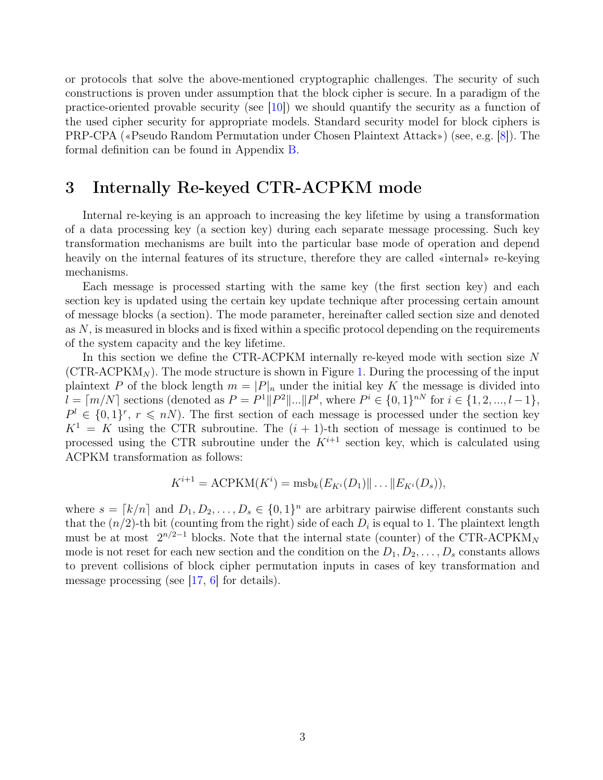or protocols that solve the above-mentioned cryptographic challenges. The security of such constructions is proven under assumption that the block cipher is secure. In a paradigm of the practice-oriented provable security (see [\[10\]](#page-5-10)) we should quantify the security as a function of the used cipher security for appropriate models. Standard security model for block ciphers is PRP-CPA («Pseudo Random Permutation under Chosen Plaintext Attack») (see, e.g. [\[8\]](#page-5-9)). The formal definition can be found in Appendix [B.](#page-6-0)

#### 3 Internally Re-keyed СTR-ACPKM mode

Internal re-keying is an approach to increasing the key lifetime by using a transformation of a data processing key (a section key) during each separate message processing. Such key transformation mechanisms are built into the particular base mode of operation and depend heavily on the internal features of its structure, therefore they are called «internal» re-keying mechanisms.

Each message is processed starting with the same key (the first section key) and each section key is updated using the certain key update technique after processing certain amount of message blocks (a section). The mode parameter, hereinafter called section size and denoted as  $N$ , is measured in blocks and is fixed within a specific protocol depending on the requirements of the system capacity and the key lifetime.

In this section we define the CTR-ACPKM internally re-keyed mode with section size N  $(CTR-ACPKM<sub>N</sub>)$ . The mode structure is shown in Figure [1.](#page-3-0) During the processing of the input plaintext P of the block length  $m = |P|_n$  under the initial key K the message is divided into  $l = \lceil m/N \rceil$  sections (denoted as  $P = P^1 || P^2 || ... || P^l$ , where  $P^i \in \{0, 1\}^{nN}$  for  $i \in \{1, 2, ..., l-1\}$ ,  $P^l \in \{0,1\}^r$ ,  $r \leqslant nN$ ). The first section of each message is processed under the section key  $K^1 = K$  using the CTR subroutine. The  $(i + 1)$ -th section of message is continued to be processed using the CTR subroutine under the  $K^{i+1}$  section key, which is calculated using ACPKM transformation as follows:

$$
K^{i+1} = \text{ACPKM}(K^i) = \text{msb}_k(E_{K^i}(D_1) \| \dots \| E_{K^i}(D_s)),
$$

where  $s = [k/n]$  and  $D_1, D_2, \ldots, D_s \in \{0, 1\}^n$  are arbitrary pairwise different constants such that the  $(n/2)$ -th bit (counting from the right) side of each  $D_i$  is equal to 1. The plaintext length must be at most  $2^{n/2-1}$  blocks. Note that the internal state (counter) of the CTR-ACPKM<sub>N</sub> mode is not reset for each new section and the condition on the  $D_1, D_2, \ldots, D_s$  constants allows to prevent collisions of block cipher permutation inputs in cases of key transformation and message processing (see [\[17,](#page-5-5) [6\]](#page-5-11) for details).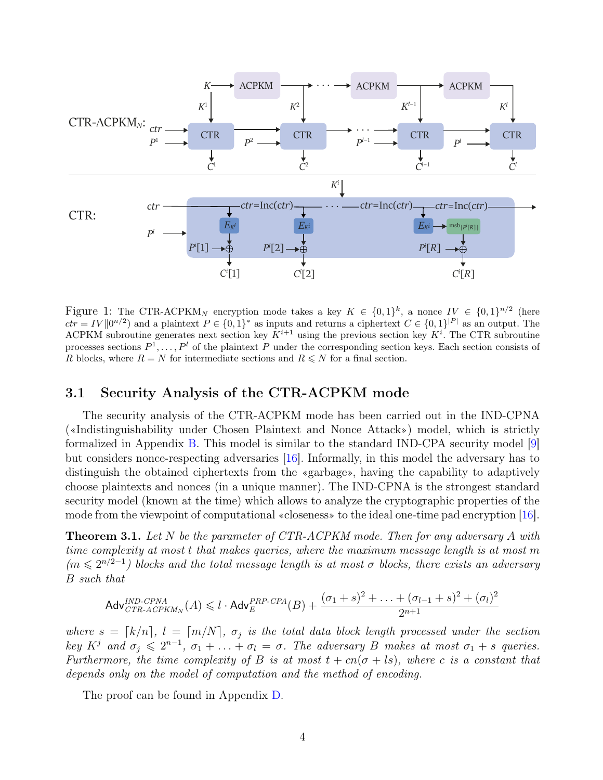

<span id="page-3-0"></span>Figure 1: The CTR-ACPKM<sub>N</sub> encryption mode takes a key  $K \in \{0,1\}^k$ , a nonce  $IV \in \{0,1\}^{n/2}$  (here  $ctr = IV ||0^{n/2}$  and a plaintext  $P \in \{0,1\}^*$  as inputs and returns a ciphertext  $C \in \{0,1\}^{|P|}$  as an output. The ACPKM subroutine generates next section key  $K^{i+1}$  using the previous section key  $K^i$ . The CTR subroutine processes sections  $P^1, \ldots, P^l$  of the plaintext P under the corresponding section keys. Each section consists of R blocks, where  $R = N$  for intermediate sections and  $R \le N$  for a final section.

#### 3.1 Security Analysis of the СTR-ACPKM mode

The security analysis of the СTR-ACPKM mode has been carried out in the IND-CPNA («Indistinguishability under Chosen Plaintext and Nonce Attack») model, which is strictly formalized in Appendix [B.](#page-6-0) This model is similar to the standard IND-CPA security model [\[9\]](#page-5-7) but considers nonce-respecting adversaries [\[16\]](#page-5-8). Informally, in this model the adversary has to distinguish the obtained ciphertexts from the «garbage», having the capability to adaptively choose plaintexts and nonces (in a unique manner). The IND-CPNA is the strongest standard security model (known at the time) which allows to analyze the cryptographic properties of the mode from the viewpoint of computational «closeness» to the ideal one-time pad encryption [\[16\]](#page-5-8).

**Theorem 3.1.** Let N be the parameter of CTR-ACPKM mode. Then for any adversary A with time complexity at most t that makes queries, where the maximum message length is at most m  $(m \leq 2^{n/2-1})$  blocks and the total message length is at most  $\sigma$  blocks, there exists an adversary B such that

$$
\mathsf{Adv}_{CTR\text{-}ACPKM_N}^{IND\text{-}CPNA}(A) \leq l \cdot \mathsf{Adv}_{E}^{PRP\text{-}CPA}(B) + \frac{(\sigma_1 + s)^2 + \ldots + (\sigma_{l-1} + s)^2 + (\sigma_l)^2}{2^{n+1}}
$$

where  $s = \lceil k/n \rceil$ ,  $l = \lceil m/N \rceil$ ,  $\sigma_j$  is the total data block length processed under the section key  $K^j$  and  $\sigma_j \leqslant 2^{n-1}$ ,  $\sigma_1 + \ldots + \sigma_l = \sigma$ . The adversary B makes at most  $\sigma_1 + s$  queries. Furthermore, the time complexity of B is at most  $t + cn(\sigma + ls)$ , where c is a constant that depends only on the model of computation and the method of encoding.

The proof can be found in Appendix [D.](#page-8-0)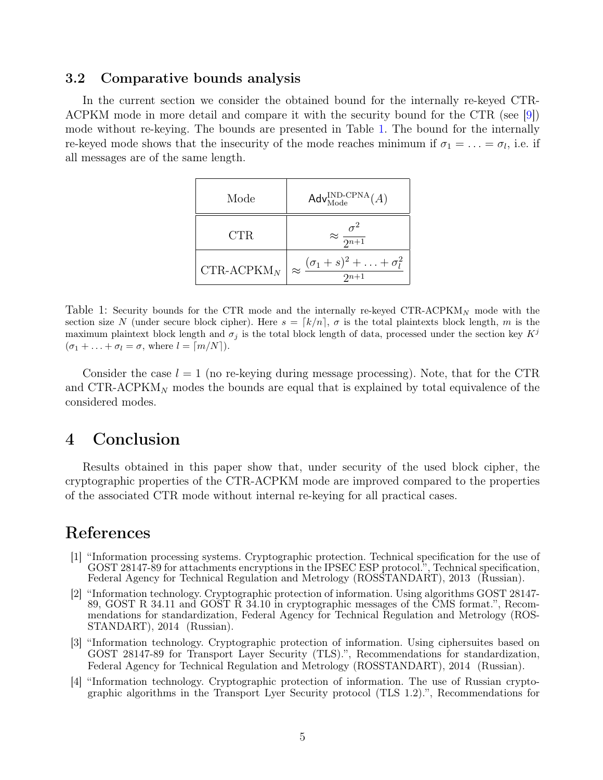#### 3.2 Comparative bounds analysis

In the current section we consider the obtained bound for the internally re-keyed CTR-ACPKM mode in more detail and compare it with the security bound for the CTR (see [\[9\]](#page-5-7)) mode without re-keying. The bounds are presented in Table [1.](#page-4-4) The bound for the internally re-keyed mode shows that the insecurity of the mode reaches minimum if  $\sigma_1 = \ldots = \sigma_l$ , i.e. if all messages are of the same length.

| Mode           | Adv $_{\text{Mode}}^{\text{IND-CPNA}}(A)$                  |
|----------------|------------------------------------------------------------|
| CTR            | $\approx \frac{\sigma^2}{2^{n+1}}$                         |
| CTR-ACPK $M_N$ | $\approx \frac{(\sigma_1+s)^2+\ldots+\sigma_l^2}{2^{n+1}}$ |

<span id="page-4-4"></span>Table 1: Security bounds for the CTR mode and the internally re-keyed CTR-ACPKM<sub>N</sub> mode with the section size N (under secure block cipher). Here  $s = \lceil k/n \rceil$ ,  $\sigma$  is the total plaintexts block length, m is the maximum plaintext block length and  $\sigma_j$  is the total block length of data, processed under the section key  $K^j$  $(\sigma_1 + \ldots + \sigma_l = \sigma$ , where  $l = \lceil m/N \rceil$ ).

Consider the case  $l = 1$  (no re-keying during message processing). Note, that for the CTR and CTR-ACPKM<sub>N</sub> modes the bounds are equal that is explained by total equivalence of the considered modes.

#### 4 Conclusion

Results obtained in this paper show that, under security of the used block cipher, the cryptographic properties of the СTR-ACPKM mode are improved compared to the properties of the associated СTR mode without internal re-keying for all practical cases.

# References

- <span id="page-4-1"></span>[1] "Information processing systems. Cryptographic protection. Technical specification for the use of GOST 28147-89 for attachments encryptions in the IPSEC ESP protocol.", Technical specification, Federal Agency for Technical Regulation and Metrology (ROSSTANDART), 2013 (Russian).
- <span id="page-4-2"></span>[2] "Information technology. Cryptographic protection of information. Using algorithms GOST 28147- 89, GOST R 34.11 and GOST R 34.10 in cryptographic messages of the CMS format.", Recommendations for standardization, Federal Agency for Technical Regulation and Metrology (ROS-STANDART), 2014 (Russian).
- <span id="page-4-0"></span>[3] "Information technology. Cryptographic protection of information. Using ciphersuites based on GOST 28147-89 for Transport Layer Security (TLS).", Recommendations for standardization, Federal Agency for Technical Regulation and Metrology (ROSSTANDART), 2014 (Russian).
- <span id="page-4-3"></span>[4] "Information technology. Cryptographic protection of information. The use of Russian cryptographic algorithms in the Transport Lyer Security protocol (TLS 1.2).", Recommendations for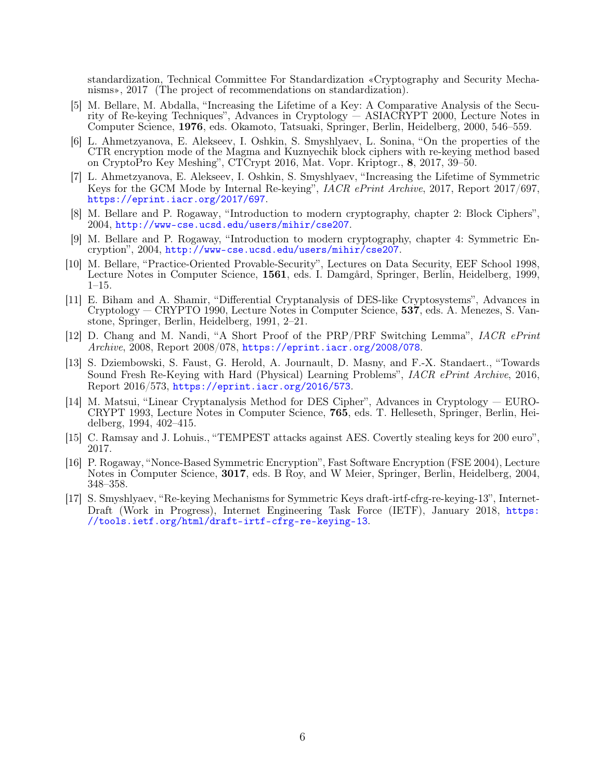standardization, Technical Committee For Standardization «Cryptography and Security Mechanisms», 2017 (The project of recommendations on standardization).

- <span id="page-5-6"></span>[5] M. Bellare, M. Abdalla, "Increasing the Lifetime of a Key: A Comparative Analysis of the Security of Re-keying Techniques", Advances in Cryptology — ASIACRYPT 2000, Lecture Notes in Computer Science, 1976, eds. Okamoto, Tatsuaki, Springer, Berlin, Heidelberg, 2000, 546–559.
- <span id="page-5-11"></span>[6] L. Ahmetzyanova, E. Alekseev, I. Oshkin, S. Smyshlyaev, L. Sonina, "On the properties of the CTR encryption mode of the Magma and Kuznyechik block ciphers with re-keying method based on CryptoPro Key Meshing", CTCrypt 2016, Mat. Vopr. Kriptogr., 8, 2017, 39–50.
- <span id="page-5-4"></span>[7] L. Ahmetzyanova, E. Alekseev, I. Oshkin, S. Smyshlyaev, "Increasing the Lifetime of Symmetric Keys for the GCM Mode by Internal Re-keying", IACR ePrint Archive, 2017, Report 2017/697, <https://eprint.iacr.org/2017/697>.
- <span id="page-5-9"></span>[8] M. Bellare and P. Rogaway, "Introduction to modern cryptography, chapter 2: Block Ciphers", 2004, [http://www-cse.ucsd.edu/users/mihir/cse207]( http://www-cse.ucsd.edu/users/mihir/cse207).
- <span id="page-5-7"></span>[9] M. Bellare and P. Rogaway, "Introduction to modern cryptography, chapter 4: Symmetric Encryption", 2004, [http://www-cse.ucsd.edu/users/mihir/cse207]( http://www-cse.ucsd.edu/users/mihir/cse207).
- <span id="page-5-10"></span>[10] M. Bellare, "Practice-Oriented Provable-Security", Lectures on Data Security, EEF School 1998, Lecture Notes in Computer Science, 1561, eds. I. Damgård, Springer, Berlin, Heidelberg, 1999, 1–15.
- <span id="page-5-1"></span>[11] E. Biham and A. Shamir, "Differential Cryptanalysis of DES-like Cryptosystems", Advances in Cryptology — CRYPTO 1990, Lecture Notes in Computer Science, 537, eds. A. Menezes, S. Vanstone, Springer, Berlin, Heidelberg, 1991, 2–21.
- <span id="page-5-12"></span>[12] D. Chang and M. Nandi, "A Short Proof of the PRP/PRF Switching Lemma", IACR ePrint Archive, 2008, Report 2008/078, <https://eprint.iacr.org/2008/078>.
- <span id="page-5-3"></span>[13] S. Dziembowski, S. Faust, G. Herold, A. Journault, D. Masny, and F.-X. Standaert., "Towards Sound Fresh Re-Keying with Hard (Physical) Learning Problems", IACR ePrint Archive, 2016, Report 2016/573, <https://eprint.iacr.org/2016/573>.
- <span id="page-5-0"></span>[14] M. Matsui, "Linear Cryptanalysis Method for DES Cipher", Advances in Cryptology — EURO-CRYPT 1993, Lecture Notes in Computer Science, 765, eds. T. Helleseth, Springer, Berlin, Heidelberg, 1994, 402–415.
- <span id="page-5-2"></span>[15] C. Ramsay and J. Lohuis., "TEMPEST attacks against AES. Covertly stealing keys for 200 euro", 2017.
- <span id="page-5-8"></span>[16] P. Rogaway, "Nonce-Based Symmetric Encryption", Fast Software Encryption (FSE 2004), Lecture Notes in Computer Science, **3017**, eds. B Roy, and W Meier, Springer, Berlin, Heidelberg, 2004, 348–358.
- <span id="page-5-5"></span>[17] S. Smyshlyaev, "Re-keying Mechanisms for Symmetric Keys draft-irtf-cfrg-re-keying-13", Internet-Draft (Work in Progress), Internet Engineering Task Force (IETF), January 2018, [https:](https://tools.ietf.org/html/draft-irtf-cfrg-re-keying-13) [//tools.ietf.org/html/draft-irtf-cfrg-re-keying-13](https://tools.ietf.org/html/draft-irtf-cfrg-re-keying-13).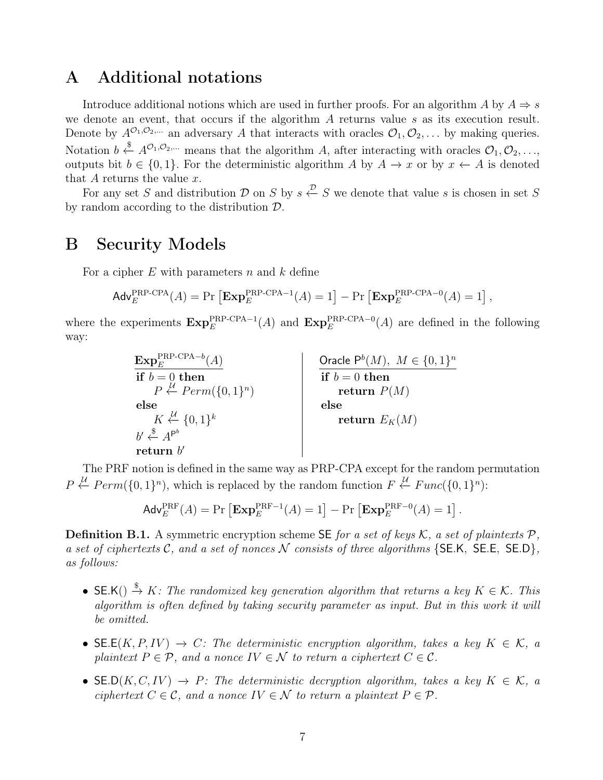# A Additional notations

Introduce additional notions which are used in further proofs. For an algorithm A by  $A \Rightarrow s$ we denote an event, that occurs if the algorithm A returns value s as its execution result. Denote by  $A^{\mathcal{O}_1,\mathcal{O}_2,\ldots}$  an adversary A that interacts with oracles  $\mathcal{O}_1,\mathcal{O}_2,\ldots$  by making queries. Notation  $b \stackrel{\$}{\leftarrow} A^{\mathcal{O}_1, \mathcal{O}_2, \dots}$  means that the algorithm A, after interacting with oracles  $\mathcal{O}_1, \mathcal{O}_2, \dots$ outputs bit  $b \in \{0, 1\}$ . For the deterministic algorithm A by  $A \to x$  or by  $x \leftarrow A$  is denoted that  $A$  returns the value  $x$ .

For any set S and distribution D on S by  $s \stackrel{\mathcal{D}}{\leftarrow} S$  we denote that value s is chosen in set S by random according to the distribution D.

#### <span id="page-6-0"></span>B Security Models

For a cipher  $E$  with parameters n and  $k$  define

$$
\mathsf{Adv}_{E}^{\mathsf{PRP\text{-}CPA}}(A) = \Pr\left[\mathbf{Exp}_{E}^{\mathsf{PRP\text{-}CPA-1}}(A) = 1\right] - \Pr\left[\mathbf{Exp}_{E}^{\mathsf{PRP\text{-}CPA-0}}(A) = 1\right],
$$

where the experiments  $\mathbf{Exp}_E^{\text{PRP-CPA-1}}(A)$  and  $\mathbf{Exp}_E^{\text{PRP-CPA-0}}(A)$  are defined in the following way:

> $\mathrm{Exp}^\mathrm{PRP-CPA-b}_{E}(A)$  $\mathbf{if}\,\,b=0\,\,\mathbf{then}% \,\,b\mathbf{A}\mathbf{b}\mathbf{B}=\mathbf{0}\,\,\mathbf{[}\,\,\mathbf{[}\,\,\mathbf{[}\,\,\mathbf{[}\,\,b\,]\,\,\mathbf{[}\,\,\mathbf{[}\,\,b\,]\,\,\mathbf{[}\,\,b\,]\,\,\mathbf{[}\,\,b\,]\,\mathbf{[}\,\,c\,]\,\mathbf{[}\,\,c\,]\,\mathbf{[}\,\,c\,]\,\mathbf{[}\,\,c\,]\,\mathbf{[}\,\,c\,]\,\mathbf{[}\,\,c\,]\,\mathbf{[}\,\,c\,]\,\mathbf{[}\,\,c\,$  $P \stackrel{\mathcal{U}}{\leftarrow} Perm(\{0,1\}^n)$ else  $K \stackrel{\mathcal{U}}{\leftarrow} \{0,1\}^k$  $b' \overset{\$}{\leftarrow} A^{P^b}$  $return b'$ Oracle  $\mathsf{P}^b(M)$ ,  $M \in \{0,1\}^n$  $if b = 0 then$ return  $P(M)$ else  $\mathbf{return}\,\, E_K(M)$

The PRF notion is defined in the same way as PRP-CPA except for the random permutation  $P \stackrel{\mathcal{U}}{\leftarrow} Perm(\{0,1\}^n)$ , which is replaced by the random function  $F \stackrel{\mathcal{U}}{\leftarrow} Func(\{0,1\}^n)$ :

$$
\mathsf{Adv}_{E}^{\mathrm{PRF}}(A) = \Pr\left[\mathbf{Exp}_{E}^{\mathrm{PRF}-1}(A) = 1\right] - \Pr\left[\mathbf{Exp}_{E}^{\mathrm{PRF}-0}(A) = 1\right].
$$

**Definition B.1.** A symmetric encryption scheme SE for a set of keys  $K$ , a set of plaintexts  $P$ , a set of ciphertexts  $C$ , and a set of nonces  $N$  consists of three algorithms {SE.K, SE.E, SE.D}, as follows:

- SE.K()  $\stackrel{\$}{\rightarrow} K$ : The randomized key generation algorithm that returns a key  $K \in \mathcal{K}$ . This algorithm is often defined by taking security parameter as input. But in this work it will be omitted.
- SE.E(K, P, IV)  $\rightarrow C$ : The deterministic encryption algorithm, takes a key  $K \in \mathcal{K}$ , a plaintext  $P \in \mathcal{P}$ , and a nonce  $IV \in \mathcal{N}$  to return a ciphertext  $C \in \mathcal{C}$ .
- SE.D(K, C, IV)  $\rightarrow$  P: The deterministic decryption algorithm, takes a key  $K \in \mathcal{K}$ , a ciphertext  $C \in \mathcal{C}$ , and a nonce  $IV \in \mathcal{N}$  to return a plaintext  $P \in \mathcal{P}$ .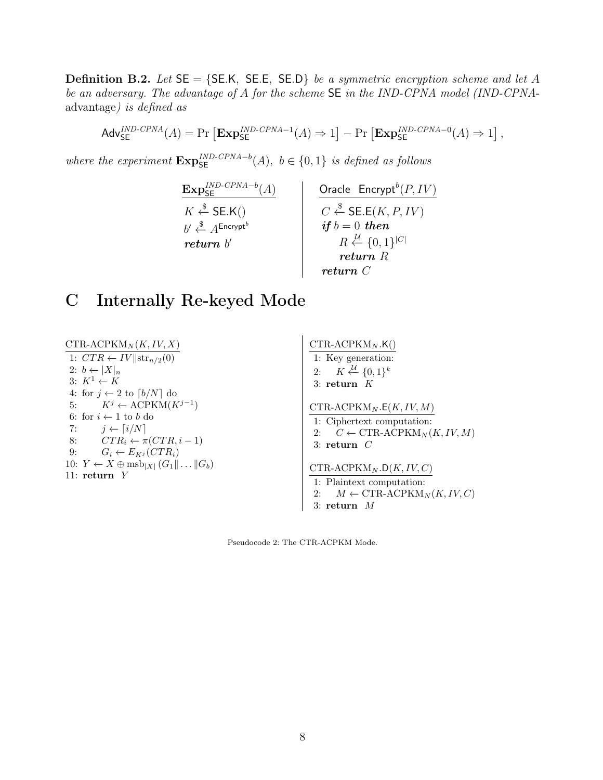**Definition B.2.** Let  $SE = \{SE.K, SE.E, SE.D\}$  be a symmetric encryption scheme and let A be an adversary. The advantage of A for the scheme SE in the IND-CPNA model (IND-CPNAadvantage) is defined as

$$
\mathsf{Adv}_{\mathsf{SE}}^{\mathit{IND}\text{-}\mathit{CPNA}}(A) = \Pr\left[\mathbf{Exp}_{\mathsf{SE}}^{\mathit{IND}\text{-}\mathit{CPNA}-1}(A) \Rightarrow 1\right] - \Pr\left[\mathbf{Exp}_{\mathsf{SE}}^{\mathit{IND}\text{-}\mathit{CPNA}-0}(A) \Rightarrow 1\right],
$$

where the experiment  $\mathbf{Exp}_{\mathsf{SE}}^{IND-CPNA-b}(A)$ ,  $b \in \{0,1\}$  is defined as follows

 $\mathrm{Exp}_{\mathsf{SE}}^{IND\text{-}\mathit{CPNA}-b}(A)$  $K \overset{\$}{\leftarrow}$  SE.K()  $b' \overset{\$}{\leftarrow} A^{\mathsf{Encrypt}^b}$ return b' Oracle  $\mathsf{Encrypt}^b$ Oracle  $\text{Encrypt}^b(P, IV)$  $C \stackrel{\$}{\leftarrow}$  SE.E $(K, P, IV)$  $\textit{if } b = 0 \ \textit{then}$  $R \stackrel{\mathcal{U}}{\leftarrow} \{0,1\}^{|C|}$ return R return C

# C Internally Re-keyed Mode

 $CTR-ACPKM_N(K, IV, X)$ 1:  $CTR \leftarrow IV \parallel \text{str}_{n/2}(0)$ 2:  $b \leftarrow |X|_n$ 3:  $K^1 \leftarrow K$ 4: for  $j \leftarrow 2$  to  $\lceil b/N \rceil$  do 5:  $K^j \leftarrow \text{ACPKM}(K^{j-1})$ 6: for  $i \leftarrow 1$  to  $b$  do 7:  $j \leftarrow \lceil i/N \rceil$ 8:  $CTR_i \leftarrow \pi (CTR, i - 1)$ 9:  $G_i \leftarrow E_{Kj} (CTR_i)$ 10:  $Y \leftarrow X \oplus \text{msb}_{|X|} (G_1 || \dots || G_b)$ 11: return Y  $CTR-ACPKM_N.K()$ 1: Key generation: 2:  $K \stackrel{\mathcal{U}}{\leftarrow} \{0,1\}^k$ 3: return  $K$  $CTR-ACPKM_N.E(K, IV, M)$ 1: Ciphertext computation: 2:  $C \leftarrow \text{CTR-ACPKM}_N(K, IV, M)$ 3: return C  $CTR-ACPKM_N.D(K, IV, C)$ 1: Plaintext computation: 2:  $M \leftarrow \text{CTR-ACPKM}_N(K, IV, C)$ 

Pseudocode 2: The СTR-ACPKM Mode.

3: return M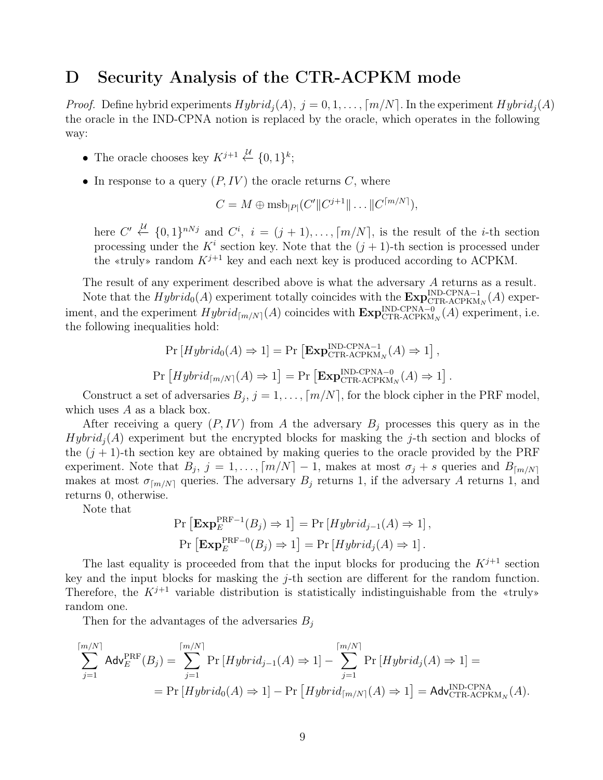#### <span id="page-8-0"></span>D Security Analysis of the CTR-ACPKM mode

*Proof.* Define hybrid experiments  $Hybrid_i(A), j = 0, 1, \ldots, \lceil m/N \rceil$ . In the experiment  $Hybrid_i(A)$ the oracle in the IND-CPNA notion is replaced by the oracle, which operates in the following way:

- The oracle chooses key  $K^{j+1} \stackrel{\mathcal{U}}{\leftarrow} \{0,1\}^k;$
- In response to a query  $(P, IV)$  the oracle returns C, where

$$
C = M \oplus \text{msb}_{|P|}(C'||C^{j+1}|| \dots ||C^{\lceil m/N \rceil}),
$$

here  $C' \stackrel{\mathcal{U}}{\leftarrow} \{0,1\}^{nNj}$  and  $C^i$ ,  $i = (j + 1), \ldots, \lceil m/N \rceil$ , is the result of the *i*-th section processing under the  $K^i$  section key. Note that the  $(j + 1)$ -th section is processed under the «truly» random  $K^{j+1}$  key and each next key is produced according to ACPKM.

The result of any experiment described above is what the adversary A returns as a result.

Note that the  $Hybrid_0(A)$  experiment totally coincides with the  $\text{Exp}_{\text{CTR-ACPKM}_N}^{\text{IND-CPNA}-1}(A)$  experiment, and the experiment  $Hybrid_{\lceil m/N\rceil}(A)$  coincides with  $\text{Exp}_{\text{CTR-ACPKM}_N}^{\text{IND-CPNA}-0}(A)$  experiment, i.e. the following inequalities hold:

$$
\Pr\left[Hybrid_0(A) \Rightarrow 1\right] = \Pr\left[\mathbf{Exp}_{\mathrm{CTR}\text{-}\mathrm{ACPKM}_N}^{\mathrm{IND}\text{-}\mathrm{CPNA}-1}(A) \Rightarrow 1\right],
$$
  

$$
\Pr\left[Hybrid_{\lceil m/N\rceil}(A) \Rightarrow 1\right] = \Pr\left[\mathbf{Exp}_{\mathrm{CTR}\text{-}\mathrm{ACPKM}_N}^{\mathrm{IND}\text{-}\mathrm{CPNA}-0}(A) \Rightarrow 1\right].
$$

Construct a set of adversaries  $B_j$ ,  $j = 1, ..., [m/N]$ , for the block cipher in the PRF model, which uses  $A$  as a black box.

After receiving a query  $(P, IV)$  from A the adversary  $B_i$  processes this query as in the  $Hybrid<sub>j</sub>(A)$  experiment but the encrypted blocks for masking the j-th section and blocks of the  $(j + 1)$ -th section key are obtained by making queries to the oracle provided by the PRF experiment. Note that  $B_j$ ,  $j = 1, ..., [m/N] - 1$ , makes at most  $\sigma_j + s$  queries and  $B_{\lfloor m/N \rfloor}$ makes at most  $\sigma_{\lfloor m/N \rfloor}$  queries. The adversary  $B_j$  returns 1, if the adversary A returns 1, and returns 0, otherwise.

Note that

$$
\Pr\left[\mathbf{Exp}_{E}^{\mathrm{PRF}-1}(B_{j}) \Rightarrow 1\right] = \Pr\left[Hybrid_{j-1}(A) \Rightarrow 1\right],
$$
  

$$
\Pr\left[\mathbf{Exp}_{E}^{\mathrm{PRF}-0}(B_{j}) \Rightarrow 1\right] = \Pr\left[Hybrid_{j}(A) \Rightarrow 1\right].
$$

The last equality is proceeded from that the input blocks for producing the  $K^{j+1}$  section key and the input blocks for masking the j-th section are different for the random function. Therefore, the  $K^{j+1}$  variable distribution is statistically indistinguishable from the «truly» random one.

Then for the advantages of the adversaries  $B_j$ 

$$
\sum_{j=1}^{\lceil m/N \rceil} \mathsf{Adv}_{E}^{\text{PRF}}(B_j) = \sum_{j=1}^{\lceil m/N \rceil} \Pr\left[ Hybrid_{j-1}(A) \Rightarrow 1 \right] - \sum_{j=1}^{\lceil m/N \rceil} \Pr\left[ Hybrid_j(A) \Rightarrow 1 \right] =
$$
\n
$$
= \Pr\left[ Hybrid_0(A) \Rightarrow 1 \right] - \Pr\left[ Hybrid_{\lceil m/N \rceil}(A) \Rightarrow 1 \right] = \mathsf{Adv}_{\text{CTR-ACPKM}_N}^{\text{IND-CPNA}}(A).
$$